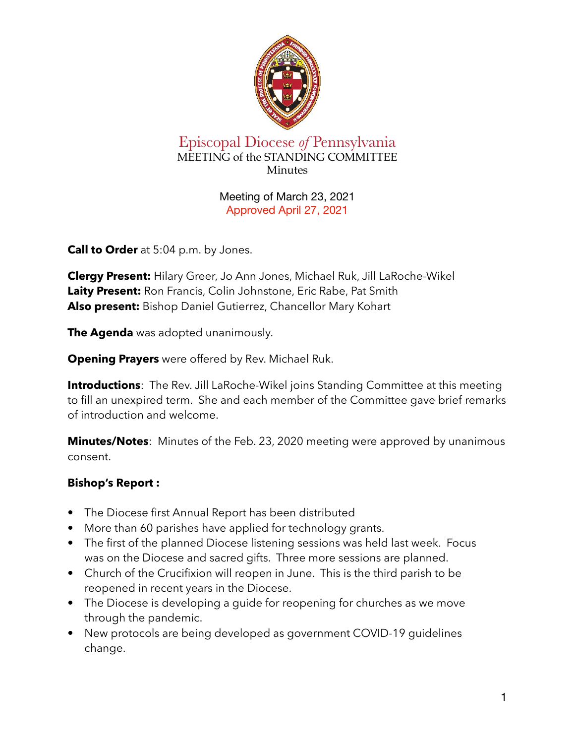

## Episcopal Diocese *of* Pennsylvania MEETING of the STANDING COMMITTEE Minutes

Meeting of March 23, 2021 Approved April 27, 2021

**Call to Order** at 5:04 p.m. by Jones.

**Clergy Present:** Hilary Greer, Jo Ann Jones, Michael Ruk, Jill LaRoche-Wikel **Laity Present:** Ron Francis, Colin Johnstone, Eric Rabe, Pat Smith **Also present:** Bishop Daniel Gutierrez, Chancellor Mary Kohart

**The Agenda** was adopted unanimously.

**Opening Prayers** were offered by Rev. Michael Ruk.

**Introductions**: The Rev. Jill LaRoche-Wikel joins Standing Committee at this meeting to fill an unexpired term. She and each member of the Committee gave brief remarks of introduction and welcome.

**Minutes/Notes**: Minutes of the Feb. 23, 2020 meeting were approved by unanimous consent.

# **Bishop's Report :**

- **•** The Diocese first Annual Report has been distributed
- **•** More than 60 parishes have applied for technology grants.
- **•** The first of the planned Diocese listening sessions was held last week. Focus was on the Diocese and sacred gifts. Three more sessions are planned.
- **•** Church of the Crucifixion will reopen in June. This is the third parish to be reopened in recent years in the Diocese.
- **•** The Diocese is developing a guide for reopening for churches as we move through the pandemic.
- **•** New protocols are being developed as government COVID-19 guidelines change.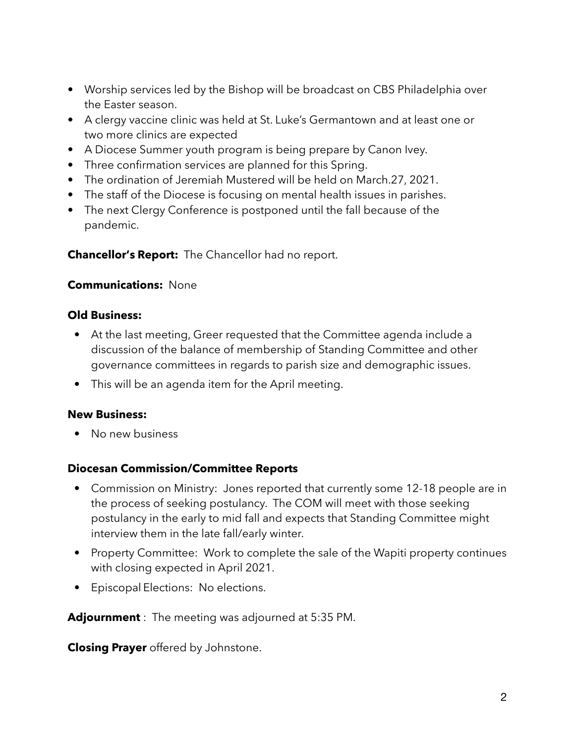- **•** Worship services led by the Bishop will be broadcast on CBS Philadelphia over the Easter season.
- **•** A clergy vaccine clinic was held at St. Luke's Germantown and at least one or two more clinics are expected
- **•** A Diocese Summer youth program is being prepare by Canon Ivey.
- **•** Three confirmation services are planned for this Spring.
- **•** The ordination of Jeremiah Mustered will be held on March.27, 2021.
- **•** The staff of the Diocese is focusing on mental health issues in parishes.
- **•** The next Clergy Conference is postponed until the fall because of the pandemic.

**Chancellor's Report:** The Chancellor had no report.

### **Communications:** None

### **Old Business:**

- At the last meeting, Greer requested that the Committee agenda include a discussion of the balance of membership of Standing Committee and other governance committees in regards to parish size and demographic issues.
- This will be an agenda item for the April meeting.

### **New Business:**

• No new business

### **Diocesan Commission/Committee Reports**

- Commission on Ministry: Jones reported that currently some 12-18 people are in the process of seeking postulancy. The COM will meet with those seeking postulancy in the early to mid fall and expects that Standing Committee might interview them in the late fall/early winter.
- Property Committee: Work to complete the sale of the Wapiti property continues with closing expected in April 2021.
- Episcopal Elections: No elections.

**Adjournment** : The meeting was adjourned at 5:35 PM.

**Closing Prayer** offered by Johnstone.